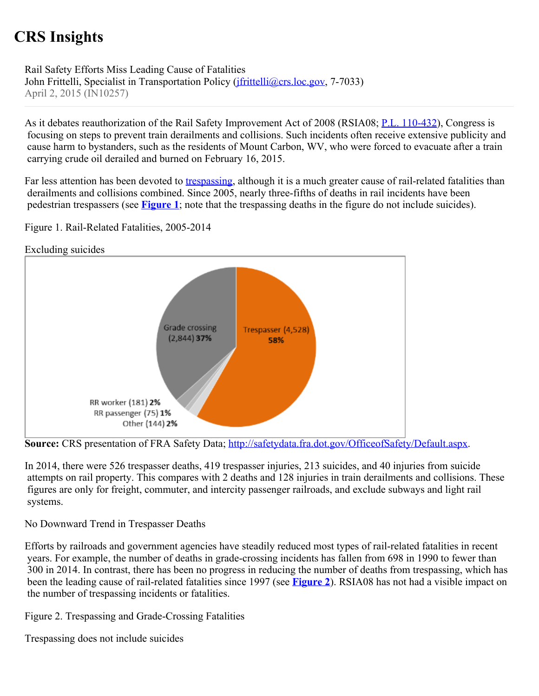## **CRS Insights**

Rail Safety Efforts Miss Leading Cause of Fatalities John Frittelli, Specialist in Transportation Policy (*ifrittelli@crs.loc.gov*, 7-7033) April 2, 2015 (IN10257)

As it debates reauthorization of the Rail Safety Improvement Act of 2008 (RSIA08; [P.L. 110-432](http://www.congress.gov/cgi-lis/bdquery/R?d110:FLD002:@1(110+432))), Congress is focusing on steps to prevent train derailments and collisions. Such incidents often receive extensive publicity and cause harm to bystanders, such as the residents of Mount Carbon, WV, who were forced to evacuate after a train carrying crude oil derailed and burned on February 16, 2015.

Far less attention has been devoted to [trespassing](http://www.fra.dot.gov/eLib/Details/L02609), although it is a much greater cause of rail-related fatalities than derailments and collisions combined. Since 2005, nearly three-fifths of deaths in rail incidents have been pedestrian trespassers (see **[Figure 1](http://www.crs.gov/pages/Insights.aspx?PRODCODE=IN10257#_Ref415814794)**; note that the trespassing deaths in the figure do not include suicides).

Figure 1. Rail-Related Fatalities, 2005-2014



Source: CRS presentation of FRA Safety Data; [http://safetydata.fra.dot.gov/OfficeofSafety/Default.aspx.](http://safetydata.fra.dot.gov/OfficeofSafety/Default.aspx)

In 2014, there were 526 trespasser deaths, 419 trespasser injuries, 213 suicides, and 40 injuries from suicide attempts on rail property. This compares with 2 deaths and 128 injuries in train derailments and collisions. These figures are only for freight, commuter, and intercity passenger railroads, and exclude subways and light rail systems.

No Downward Trend in Trespasser Deaths

Efforts by railroads and government agencies have steadily reduced most types of rail-related fatalities in recent years. For example, the number of deaths in grade-crossing incidents has fallen from 698 in 1990 to fewer than 300 in 2014. In contrast, there has been no progress in reducing the number of deaths from trespassing, which has been the leading cause of rail-related fatalities since 1997 (see **[Figure 2](http://www.crs.gov/pages/Insights.aspx?PRODCODE=IN10257#_Ref415814810)**). RSIA08 has not had a visible impact on the number of trespassing incidents or fatalities.

Figure 2. Trespassing and Grade-Crossing Fatalities

Trespassing does not include suicides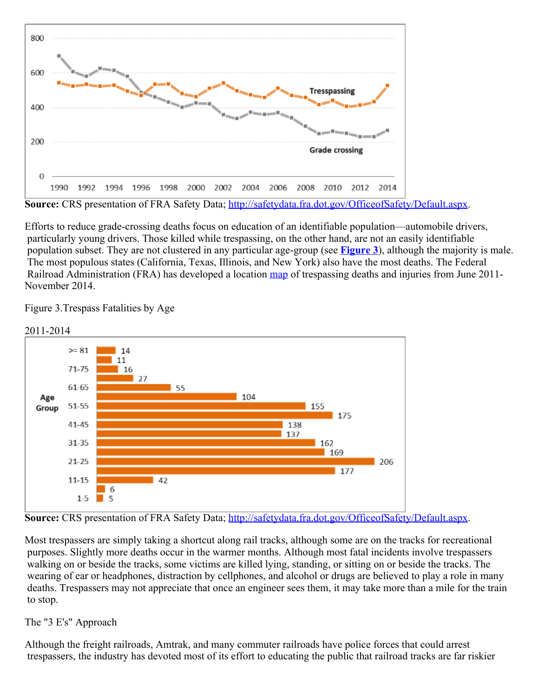

**Source:** CRS presentation of FRA Safety Data; [http://safetydata.fra.dot.gov/OfficeofSafety/Default.aspx.](http://safetydata.fra.dot.gov/OfficeofSafety/Default.aspx)

Efforts to reduce grade-crossing deaths focus on education of an identifiable population—automobile drivers, particularly young drivers. Those killed while trespassing, on the other hand, are not an easily identifiable population subset. They are not clustered in any particular age-group (see **[Figure 3](http://www.crs.gov/pages/Insights.aspx?PRODCODE=IN10257#_Ref415814828)**), although the majority is male. The most populous states (California, Texas, Illinois, and New York) also have the most deaths. The Federal Railroad Administration (FRA) has developed a location [map](http://fragis.fra.dot.gov/Trespassers) of trespassing deaths and injuries from June 2011-November 2014.

Figure 3.Trespass Fatalities by Age



Source: CRS presentation of FRA Safety Data; [http://safetydata.fra.dot.gov/OfficeofSafety/Default.aspx.](http://safetydata.fra.dot.gov/OfficeofSafety/Default.aspx)

Most trespassers are simply taking a shortcut along rail tracks, although some are on the tracks for recreational purposes. Slightly more deaths occur in the warmer months. Although most fatal incidents involve trespassers walking on or beside the tracks, some victims are killed lying, standing, or sitting on or beside the tracks. The wearing of ear or headphones, distraction by cellphones, and alcohol or drugs are believed to play a role in many deaths. Trespassers may not appreciate that once an engineer sees them, it may take more than a mile for the train to stop.

## The "3 E's" Approach

Although the freight railroads, Amtrak, and many commuter railroads have police forces that could arrest trespassers, the industry has devoted most of its effort to educating the public that railroad tracks are far riskier